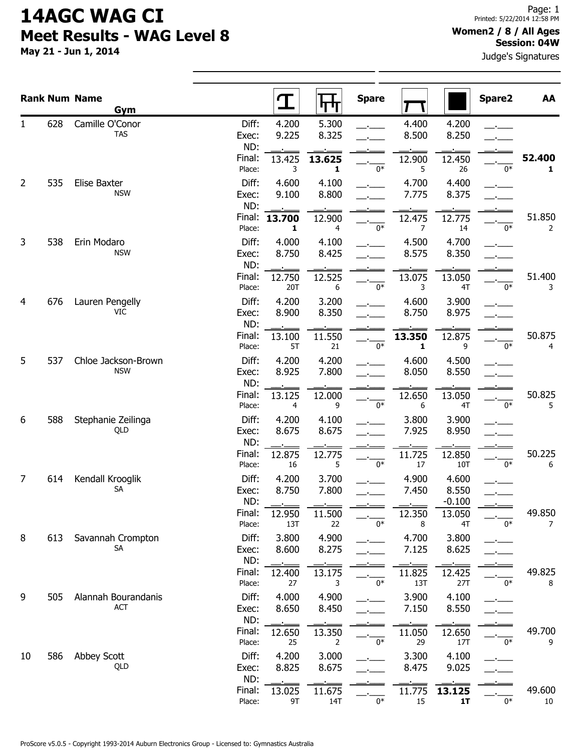May 21 - Jun 1, 2014

#### Women2 / 8 / All Ages Session: 04W

Judge's Signatures

|                |     | <b>Rank Num Name</b><br>Gym       |                       |                                   | ┡┯┿                          | <b>Spare</b> |                |                            | Spare2 | AA                     |
|----------------|-----|-----------------------------------|-----------------------|-----------------------------------|------------------------------|--------------|----------------|----------------------------|--------|------------------------|
| 1              | 628 | Camille O'Conor<br><b>TAS</b>     | Diff:<br>Exec:<br>ND: | 4.200<br>9.225                    | 5.300<br>8.325               |              | 4.400<br>8.500 | 4.200<br>8.250             |        |                        |
|                |     |                                   | Final:<br>Place:      | 13.425<br>3                       | 13.625<br>1                  | 0*           | 12.900<br>5    | 12.450<br>26               | $0*$   | 52.400<br>$\mathbf{1}$ |
| $\overline{2}$ | 535 | <b>Elise Baxter</b><br><b>NSW</b> | Diff:<br>Exec:<br>ND: | 4.600<br>9.100                    | 4.100<br>8.800               |              | 4.700<br>7.775 | 4.400<br>8.375             |        |                        |
|                |     |                                   | Final:<br>Place:      | 13.700<br>1                       | 12.900<br>4                  | $0*$         | 12.475<br>7    | 12.775<br>14               | $0*$   | 51.850<br>2            |
| 3              | 538 | Erin Modaro<br><b>NSW</b>         | Diff:<br>Exec:<br>ND: | 4.000<br>8.750                    | 4.100<br>8.425               |              | 4.500<br>8.575 | 4.700<br>8.350             |        |                        |
|                |     |                                   | Final:<br>Place:      | 12.750<br>20T                     | 12.525<br>6                  | $0*$         | 13.075<br>3    | 13.050<br>4T               | $0*$   | 51.400<br>3            |
| 4              | 676 | Lauren Pengelly<br>VIC            | Diff:<br>Exec:<br>ND: | 4.200<br>8.900                    | 3.200<br>8.350               |              | 4.600<br>8.750 | 3.900<br>8.975             |        |                        |
|                |     |                                   | Final:<br>Place:      | 13.100<br>5T                      | 11.550<br>21                 | $0*$         | 13.350<br>1    | 12.875<br>9                | $0*$   | 50.875<br>4            |
| 5              | 537 | Chloe Jackson-Brown<br><b>NSW</b> | Diff:<br>Exec:<br>ND: | 4.200<br>8.925                    | 4.200<br>7.800               |              | 4.600<br>8.050 | 4.500<br>8.550             |        |                        |
|                |     |                                   | Final:<br>Place:      | 13.125<br>4                       | 12.000<br>9                  | $0*$         | 12.650<br>6    | 13.050<br>4T               | $0*$   | 50.825<br>5            |
| 6              | 588 | Stephanie Zeilinga<br>QLD         | Diff:<br>Exec:<br>ND: | 4.200<br>8.675                    | 4.100<br>8.675               |              | 3.800<br>7.925 | 3.900<br>8.950             |        |                        |
|                |     |                                   | Final:<br>Place:      | 12.875<br>16                      | 12.775<br>5                  | $0*$         | 11.725<br>17   | 12.850<br>10T              | $0*$   | 50.225<br>6            |
| 7              | 614 | Kendall Krooglik<br>SA            | Diff:<br>Exec:<br>ND: | 4.200<br>8.750<br><b>Contract</b> | 3.700<br>7.800<br><b>COL</b> |              | 4.900<br>7.450 | 4.600<br>8.550<br>$-0.100$ |        |                        |
|                |     |                                   | Final:<br>Place:      | 12.950<br>13T                     | 11.500<br>22                 | $0*$         | 12.350<br>8    | 13.050<br>4T               | $0*$   | 49.850<br>7            |
| 8              | 613 | Savannah Crompton<br><b>SA</b>    | Diff:<br>Exec:<br>ND: | 3.800<br>8.600                    | 4.900<br>8.275               |              | 4.700<br>7.125 | 3.800<br>8.625             |        |                        |
|                |     |                                   | Final:<br>Place:      | 12.400<br>27                      | 13.175<br>3                  | $0*$         | 11.825<br>13T  | 12.425<br>27T              | $0*$   | 49.825<br>8            |
| 9              | 505 | Alannah Bourandanis<br><b>ACT</b> | Diff:<br>Exec:<br>ND: | 4.000<br>8.650                    | 4.900<br>8.450               |              | 3.900<br>7.150 | 4.100<br>8.550             |        |                        |
|                |     |                                   | Final:<br>Place:      | 12.650<br>25                      | 13.350<br>$\overline{2}$     | $0*$         | 11.050<br>29   | 12.650<br>17T              | $0*$   | 49.700<br>9            |
| 10             | 586 | Abbey Scott<br>QLD                | Diff:<br>Exec:<br>ND: | 4.200<br>8.825                    | 3.000<br>8.675               |              | 3.300<br>8.475 | 4.100<br>9.025             |        |                        |
|                |     |                                   | Final:<br>Place:      | 13.025<br>9T                      | 11.675<br>14T                | $0*$         | 11.775<br>15   | 13.125<br>1T               | 0*     | 49.600<br>10           |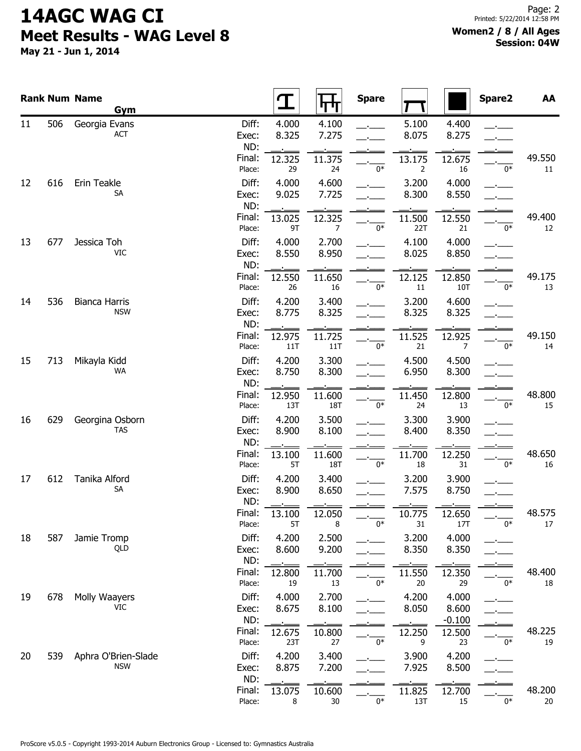May 21 - Jun 1, 2014

|    |     | <b>Rank Num Name</b><br>Gym        |                                  |                                |                                | <b>Spare</b> |                                    |                                | Spare2 | AA           |
|----|-----|------------------------------------|----------------------------------|--------------------------------|--------------------------------|--------------|------------------------------------|--------------------------------|--------|--------------|
| 11 | 506 | Georgia Evans<br><b>ACT</b>        | Diff:<br>Exec:<br>ND:<br>Final:  | 4.000<br>8.325                 | 4.100<br>7.275                 |              | 5.100<br>8.075                     | 4.400<br>8.275                 |        | 49.550       |
| 12 | 616 | Erin Teakle<br>SA                  | Place:<br>Diff:<br>Exec:         | 12.325<br>29<br>4.000<br>9.025 | 11.375<br>24<br>4.600<br>7.725 | $0*$         | 13.175<br>2<br>3.200<br>8.300      | 12.675<br>16<br>4.000<br>8.550 | $0*$   | 11           |
|    |     |                                    | ND:<br>Final:<br>Place:          | 13.025<br>9T                   | 12.325<br>$\overline{7}$       | 0*           | 11.500<br>22T                      | 12.550<br>21                   | $0*$   | 49.400<br>12 |
| 13 | 677 | Jessica Toh<br>VIC                 | Diff:<br>Exec:<br>ND:            | 4.000<br>8.550                 | 2.700<br>8.950                 |              | 4.100<br>8.025                     | 4.000<br>8.850                 |        |              |
| 14 | 536 | <b>Bianca Harris</b><br><b>NSW</b> | Final:<br>Place:<br>Diff:        | 12.550<br>26<br>4.200          | 11.650<br>16<br>3.400          | $0*$         | 12.125<br>$11\,$<br>3.200          | 12.850<br>10T<br>4.600         | $0*$   | 49.175<br>13 |
|    |     |                                    | Exec:<br>ND:<br>Final:<br>Place: | 8.775<br>12.975<br>11T         | 8.325<br>11.725<br>11T         | $0*$         | 8.325<br>$\overline{11.525}$<br>21 | 8.325<br>12.925<br>7           | $0*$   | 49.150<br>14 |
| 15 | 713 | Mikayla Kidd<br><b>WA</b>          | Diff:<br>Exec:<br>ND:            | 4.200<br>8.750                 | 3.300<br>8.300                 |              | 4.500<br>6.950                     | 4.500<br>8.300                 |        |              |
| 16 | 629 | Georgina Osborn                    | Final:<br>Place:<br>Diff:        | 12.950<br>13T<br>4.200         | 11.600<br>18T<br>3.500         | $0*$         | 11.450<br>24<br>3.300              | 12.800<br>13<br>3.900          | $0*$   | 48.800<br>15 |
|    |     | <b>TAS</b>                         | Exec:<br>ND:<br>Final:           | 8.900<br>13.100                | 8.100<br>11.600                |              | 8.400<br>11.700                    | 8.350<br>12.250                |        | 48.650       |
| 17 | 612 | Tanika Alford<br><b>SA</b>         | Place:<br>Diff:<br>Exec:<br>ND:  | 5T<br>4.200<br>8.900           | 18T<br>3.400<br>8.650          | $0*$         | 18<br>3.200<br>7.575               | 31<br>3.900<br>8.750           | $0*$   | 16           |
|    |     |                                    | Final:<br>Place:                 | 13.100<br>5T                   | 12.050<br>8                    | $0*$         | 10.775<br>31                       | 12.650<br>17T                  | $0*$   | 48.575<br>17 |
| 18 | 587 | Jamie Tromp<br>QLD                 | Diff:<br>Exec:<br>ND:            | 4.200<br>8.600                 | 2.500<br>9.200                 |              | 3.200<br>8.350                     | 4.000<br>8.350                 |        |              |
| 19 | 678 | Molly Waayers                      | Final:<br>Place:<br>Diff:        | 12.800<br>19<br>4.000          | 11.700<br>13<br>2.700          | $0*$         | 11.550<br>$20\,$<br>4.200          | 12.350<br>29<br>4.000          | $0*$   | 48.400<br>18 |
|    |     | VIC                                | Exec:<br>ND:<br>Final:           | 8.675<br>12.675                | 8.100<br>10.800                |              | 8.050<br>12.250                    | 8.600<br>$-0.100$<br>12.500    |        | 48.225       |
| 20 | 539 | Aphra O'Brien-Slade<br><b>NSW</b>  | Place:<br>Diff:<br>Exec:         | 23T<br>4.200<br>8.875          | 27<br>3.400<br>7.200           | 0*           | 9<br>3.900<br>7.925                | 23<br>4.200<br>8.500           | $0*$   | 19           |
|    |     |                                    | ND:<br>Final:<br>Place:          | 13.075<br>8                    | 10.600<br>$30\,$               | $0^\ast$     | 11.825<br>13T                      | 12.700<br>15                   | $0*$   | 48.200<br>20 |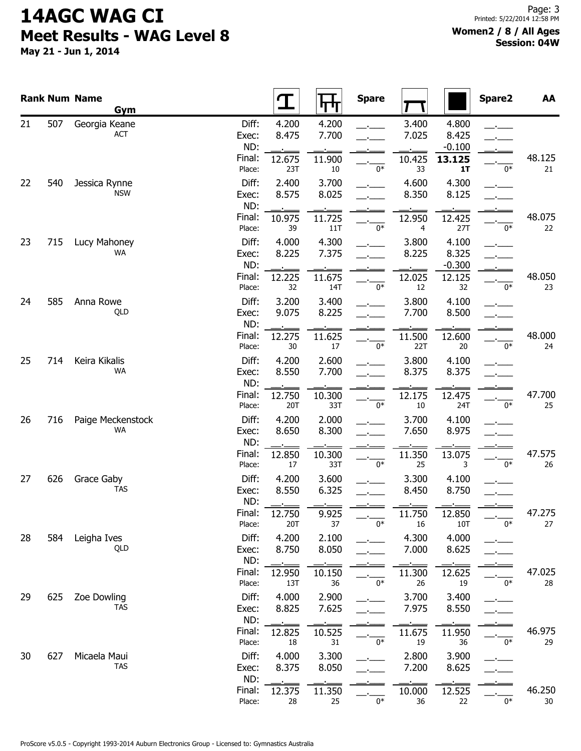May 21 - Jun 1, 2014

#### Women2 / 8 / All Ages Session: 04W

|    |     | <b>Rank Num Name</b><br>Gym |                                           |                                 | पाग                             | <b>Spare</b> |                                |                                            | Spare2 | AA               |
|----|-----|-----------------------------|-------------------------------------------|---------------------------------|---------------------------------|--------------|--------------------------------|--------------------------------------------|--------|------------------|
| 21 | 507 | Georgia Keane<br>ACT        | Diff:<br>Exec:<br>ND:<br>Final:<br>Place: | 4.200<br>8.475<br>12.675<br>23T | 4.200<br>7.700<br>11.900<br>10  | $0*$         | 3.400<br>7.025<br>10.425<br>33 | 4.800<br>8.425<br>$-0.100$<br>13.125<br>1T | $0*$   | 48.125<br>21     |
| 22 | 540 | Jessica Rynne<br><b>NSW</b> | Diff:<br>Exec:<br>ND:                     | 2.400<br>8.575                  | 3.700<br>8.025                  |              | 4.600<br>8.350                 | 4.300<br>8.125                             |        |                  |
| 23 | 715 | Lucy Mahoney<br>WA.         | Final:<br>Place:<br>Diff:<br>Exec:        | 10.975<br>39<br>4.000<br>8.225  | 11.725<br>11T<br>4.300<br>7.375 | $0*$         | 12.950<br>4<br>3.800<br>8.225  | 12.425<br>27T<br>4.100<br>8.325            | $0*$   | 48.075<br>22     |
| 24 | 585 | Anna Rowe                   | ND:<br>Final:<br>Place:<br>Diff:          | 12.225<br>32<br>3.200           | 11.675<br>14T<br>3.400          | 0*           | 12.025<br>12<br>3.800          | $-0.300$<br>12.125<br>32<br>4.100          | 0*     | 48.050<br>23     |
|    |     | QLD                         | Exec:<br>ND:<br>Final:<br>Place:          | 9.075<br>12.275<br>30           | 8.225<br>11.625<br>17           | $0*$         | 7.700<br>11.500<br>22T         | 8.500<br>12.600<br>$20\,$                  | $0*$   | 48.000<br>24     |
| 25 | 714 | Keira Kikalis<br><b>WA</b>  | Diff:<br>Exec:<br>ND:<br>Final:           | 4.200<br>8.550<br>12.750        | 2.600<br>7.700<br>10.300        |              | 3.800<br>8.375<br>12.175       | 4.100<br>8.375<br>12.475                   |        | 47.700           |
| 26 | 716 | Paige Meckenstock<br>WA     | Place:<br>Diff:<br>Exec:<br>ND:           | 20T<br>4.200<br>8.650           | 33T<br>2.000<br>8.300           | $0*$         | 10<br>3.700<br>7.650           | 24T<br>4.100<br>8.975                      | $0*$   | 25               |
| 27 | 626 | Grace Gaby<br><b>TAS</b>    | Final:<br>Place:<br>Diff:<br>Exec:        | 12.850<br>17<br>4.200<br>8.550  | 10.300<br>33T<br>3.600<br>6.325 | $0*$         | 11.350<br>25<br>3.300<br>8.450 | 13.075<br>3<br>4.100<br>8.750              | $0*$   | 47.575<br>26     |
| 28 | 584 | Leigha Ives                 | ND:<br>Final:<br>Place:<br>Diff:          | 12.750<br>20T<br>4.200          | 9.925<br>37<br>2.100            | $0^\ast$     | -5<br>11.750<br>16<br>4.300    | 12.850<br>10T<br>4.000                     | $0*$   | 47.275<br>27     |
|    |     | QLD                         | Exec:<br>ND:<br>Final:                    | 8.750<br>12.950                 | 8.050<br>10.150                 | $0*$         | 7.000<br>11.300                | 8.625<br>12.625                            | $0*$   | 47.025           |
| 29 | 625 | Zoe Dowling<br><b>TAS</b>   | Place:<br>Diff:<br>Exec:<br>ND:           | 13T<br>4.000<br>8.825           | 36<br>2.900<br>7.625            |              | 26<br>3.700<br>7.975           | 19<br>3.400<br>8.550                       |        | 28               |
| 30 | 627 | Micaela Maui<br><b>TAS</b>  | Final:<br>Place:<br>Diff:<br>Exec:        | 12.825<br>18<br>4.000<br>8.375  | 10.525<br>31<br>3.300<br>8.050  | $0*$         | 11.675<br>19<br>2.800<br>7.200 | 11.950<br>36<br>3.900<br>8.625             | $0*$   | 46.975<br>29     |
|    |     |                             | ND:<br>Final:<br>Place:                   | 12.375<br>28                    | 11.350<br>25                    | $0^*$        | 10.000<br>36                   | 12.525<br>22                               | $0*$   | 46.250<br>$30\,$ |